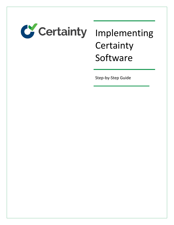

# **Certainty** Software

Step-by-Step Guide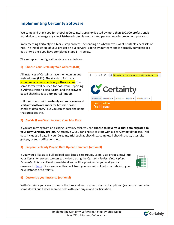# **Implementing Certainty Software**

Welcome and thank you for choosing Certainty! Certainty is used by more than 100,000 professionals worldwide to manage any checklist-based compliance, risk and performance improvement program.

Implementing Certainty is a 6 or 7-step process - depending on whether you want printable checklists of not. The initial set-up of your project on our servers is done by our team and is normally complete in a day or two once you have completed steps  $1 - 4$  below.

 $\leftarrow$   $\rightarrow$  C  $\Omega$  |

Home  $\geq$  Dashboard Dashboard

C Certainty

Dashboard Checklists - Actions - Reports - Administration -

The set up and configuration steps are as follows:

#### **1) Choose Your Certainty Web Address (URL)**

All instances of Certainty have their own unique web address (URL). The standard format is yourcompanyname.certaintysoftware.com. The same format will be used for both your Reporting & Administration portal (.com) and the browserbased checklist data entry portal (.mobi).

URL's must end with **.certaintysoftware.com** (and **.certaintysoftware.mobi** for browser-based checklist data entry) but you can choose the name that precedes this.

## **2) Decide If You Want to Keep Your Trial Data**

If you are moving from an existing Certainty trial, you can **choose to have your trial data migrated to your new Certainty project.** Alternatively, you can choose to start with a clean/empty database. Trial data includes all data in your Certainty trial such as checklists, completed checklist data, sites, site groups, users, notifications, etc.

#### **3) Prepare Certainty Project Data Upload Template (optional)**

If you would like us to bulk upload data (sites, site groups, users, user groups, etc.) into your Certainty project, we can easily do so using the *Certainty Project Data Upload Template*. This is an Excel spreadsheet and will be provided to you and you can download it [here.](http://www.certaintysoftware.com/) Once we have this back from you, we will upload your data into your new instance of Certainty.



https://yourcompanyname.certaintysoftware.com

## **4) Customize your Instance (optional)**

With Certainty you can customize the look and feel of your instance. Its optional (some customers do, some don't) but it does seem to help with user buy-in and participation.

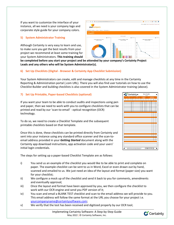If you want to customize the interface of your instance, all we need is your company logo and corporate style guide for your company colors.

# **5) System Administrator Training**

Although Certainty is very easy to learn and use, to make sure you get the best results from your project we recommend at least some training for your System Administrators. **This training should** 

**be completed before you start your project and be attended by your company's Certainty Project Leads and any others who will be System Administrator(s).** 

 $000$ 

# **6) Set Up Checklists (Digital - Browser & Certainty App Checklist Submission)**

Your System Administrators can create, edit and manage checklists at any time in the Certainty Reporting & Administration portal (.com URL). There you will also find user tutorials on how to use the Checklist Builder and building checklists is also covered in the System Administrator training (above).

# **7) Set Up Printable, Paper-based Checklists (optional)**

If you want your team to be able to conduct audits and inspections using pen and paper, then we need to work with you to configure checklists that can be printed and read by our 'scan-to-email' - optical recognition (OCR) technology.

To do so, we need to create a Checklist Template and the subsequent printable checklists based on that template.

Once this is done, these checklists can be printed directly from Certainty and sent into your instance using any standard office scanner and the scan-toemail address provided in your *Getting Started* document along with the Certainty app download instructions, app activation code and your users' initial login credentials.

The steps for setting up a paper-based Checklist Template are as follows:

- i) You send us an example of the checklist you would like to be able to print and complete on paper. The example checklist can be sent to us in Word, Excel or even drawn out by hand, scanned and emailed to us. We just need an idea of the layout and format (paper size) you want for your checklist;
- ii) We configure a mock up of the checklist and send it back to you for comments, amendments and eventually approval;
- iii) Once the layout and format have been approved by you, we then configure the checklist to work with our OCR engine and send you PDF version of it;
- iv) You scan and email a BLANK TEST checklist and scan to the email address we will provide to you. This email address will follow the same format at the URL you choose for your project i.e. [yourcompanyname@certaintysoftware.com;](mailto:yourcompanyname@certaintysoftware.com)
- v) We verify that the test has been received and digitized properly by our OCR tool;

vourcompany



Implemeting Certainty Software: A Step-by-Step Guide May 2022 | © Certainty Software, Inc.